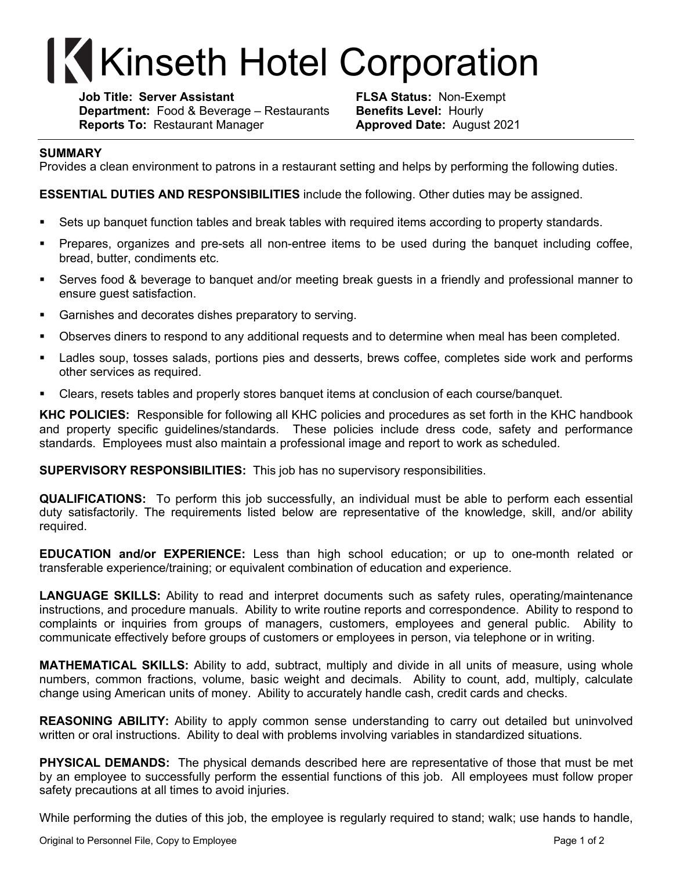## **Kinseth Hotel Corporation**

**Job Title: Server Assistant FLSA Status:** Non-Exempt **Department:** Food & Beverage – Restaurants **Benefits Level:** Hourly **Reports To:** Restaurant Manager **Approved Date:** August 2021

## **SUMMARY**

Provides a clean environment to patrons in a restaurant setting and helps by performing the following duties.

**ESSENTIAL DUTIES AND RESPONSIBILITIES** include the following. Other duties may be assigned.

- Sets up banquet function tables and break tables with required items according to property standards.
- § Prepares, organizes and pre-sets all non-entree items to be used during the banquet including coffee, bread, butter, condiments etc.
- § Serves food & beverage to banquet and/or meeting break guests in a friendly and professional manner to ensure guest satisfaction.
- Garnishes and decorates dishes preparatory to serving.
- § Observes diners to respond to any additional requests and to determine when meal has been completed.
- Ladles soup, tosses salads, portions pies and desserts, brews coffee, completes side work and performs other services as required.
- § Clears, resets tables and properly stores banquet items at conclusion of each course/banquet.

**KHC POLICIES:** Responsible for following all KHC policies and procedures as set forth in the KHC handbook and property specific guidelines/standards. These policies include dress code, safety and performance standards. Employees must also maintain a professional image and report to work as scheduled.

**SUPERVISORY RESPONSIBILITIES:** This job has no supervisory responsibilities.

**QUALIFICATIONS:** To perform this job successfully, an individual must be able to perform each essential duty satisfactorily. The requirements listed below are representative of the knowledge, skill, and/or ability required.

**EDUCATION and/or EXPERIENCE:** Less than high school education; or up to one-month related or transferable experience/training; or equivalent combination of education and experience.

**LANGUAGE SKILLS:** Ability to read and interpret documents such as safety rules, operating/maintenance instructions, and procedure manuals. Ability to write routine reports and correspondence. Ability to respond to complaints or inquiries from groups of managers, customers, employees and general public. Ability to communicate effectively before groups of customers or employees in person, via telephone or in writing.

**MATHEMATICAL SKILLS:** Ability to add, subtract, multiply and divide in all units of measure, using whole numbers, common fractions, volume, basic weight and decimals. Ability to count, add, multiply, calculate change using American units of money. Ability to accurately handle cash, credit cards and checks.

**REASONING ABILITY:** Ability to apply common sense understanding to carry out detailed but uninvolved written or oral instructions. Ability to deal with problems involving variables in standardized situations.

**PHYSICAL DEMANDS:** The physical demands described here are representative of those that must be met by an employee to successfully perform the essential functions of this job. All employees must follow proper safety precautions at all times to avoid injuries.

While performing the duties of this job, the employee is regularly required to stand; walk; use hands to handle,